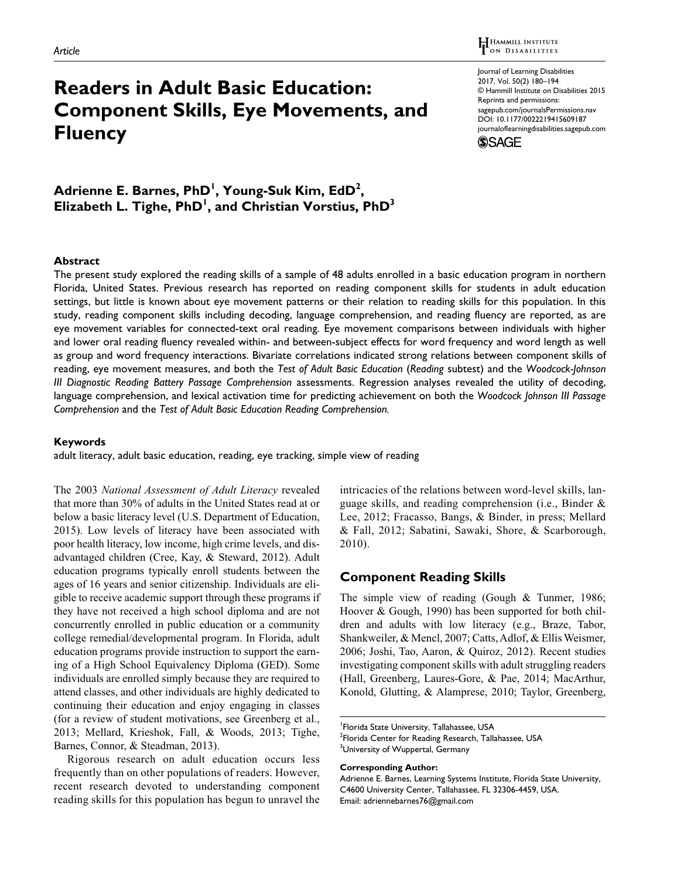# **Readers in Adult Basic Education: Component Skills, Eye Movements, and Fluency**

Journal of Learning Disabilities 2017, Vol. 50(2) 180–194 © Hammill Institute on Disabilities 2015 Reprints and permissions: [sagepub.com/journalsPermissions.nav](https://us.sagepub.com/en-us/journals-permissions) [DOI: 10.1177/0022219415609187](https://doi.org/10.1177/0022219415609187) [journaloflearningdisabilities.sagepub.com](https://journaloflearningdisabilities.sagepub.com) **SSAGE** 

# **Adrienne E. Barnes, PhD1 , Young-Suk Kim, EdD2 ,** Elizabeth L. Tighe, PhD<sup>1</sup>, and Christian Vorstius, PhD<sup>3</sup>

#### **Abstract**

The present study explored the reading skills of a sample of 48 adults enrolled in a basic education program in northern Florida, United States. Previous research has reported on reading component skills for students in adult education settings, but little is known about eye movement patterns or their relation to reading skills for this population. In this study, reading component skills including decoding, language comprehension, and reading fluency are reported, as are eye movement variables for connected-text oral reading. Eye movement comparisons between individuals with higher and lower oral reading fluency revealed within- and between-subject effects for word frequency and word length as well as group and word frequency interactions. Bivariate correlations indicated strong relations between component skills of reading, eye movement measures, and both the *Test of Adult Basic Education* (*Reading* subtest) and the *Woodcock-Johnson III Diagnostic Reading Battery Passage Comprehension* assessments. Regression analyses revealed the utility of decoding, language comprehension, and lexical activation time for predicting achievement on both the *Woodcock Johnson III Passage Comprehension* and the *Test of Adult Basic Education Reading Comprehension.*

#### **Keywords**

adult literacy, adult basic education, reading, eye tracking, simple view of reading

The 2003 *National Assessment of Adult Literacy* revealed that more than 30% of adults in the United States read at or below a basic literacy level (U.S. Department of Education, 2015). Low levels of literacy have been associated with poor health literacy, low income, high crime levels, and disadvantaged children (Cree, Kay, & Steward, 2012). Adult education programs typically enroll students between the ages of 16 years and senior citizenship. Individuals are eligible to receive academic support through these programs if they have not received a high school diploma and are not concurrently enrolled in public education or a community college remedial/developmental program. In Florida, adult education programs provide instruction to support the earning of a High School Equivalency Diploma (GED). Some individuals are enrolled simply because they are required to attend classes, and other individuals are highly dedicated to continuing their education and enjoy engaging in classes (for a review of student motivations, see Greenberg et al., 2013; Mellard, Krieshok, Fall, & Woods, 2013; Tighe, Barnes, Connor, & Steadman, 2013).

Rigorous research on adult education occurs less frequently than on other populations of readers. However, recent research devoted to understanding component reading skills for this population has begun to unravel the

intricacies of the relations between word-level skills, language skills, and reading comprehension (i.e., Binder & Lee, 2012; Fracasso, Bangs, & Binder, in press; Mellard & Fall, 2012; Sabatini, Sawaki, Shore, & Scarborough, 2010).

# **Component Reading Skills**

The simple view of reading (Gough & Tunmer, 1986; Hoover & Gough, 1990) has been supported for both children and adults with low literacy (e.g., Braze, Tabor, Shankweiler, & Mencl, 2007; Catts, Adlof, & Ellis Weismer, 2006; Joshi, Tao, Aaron, & Quiroz, 2012). Recent studies investigating component skills with adult struggling readers (Hall, Greenberg, Laures-Gore, & Pae, 2014; MacArthur, Konold, Glutting, & Alamprese, 2010; Taylor, Greenberg,

<sup>1</sup> Florida State University, Tallahassee, USA

<sup>&</sup>lt;sup>2</sup>Florida Center for Reading Research, Tallahassee, USA <sup>3</sup>University of Wuppertal, Germany

**Corresponding Author:**

Adrienne E. Barnes, Learning Systems Institute, Florida State University, C4600 University Center, Tallahassee, FL 32306-4459, USA. Email: [adriennebarnes76@gmail.com](mailto:adriennebarnes76@gmail.com)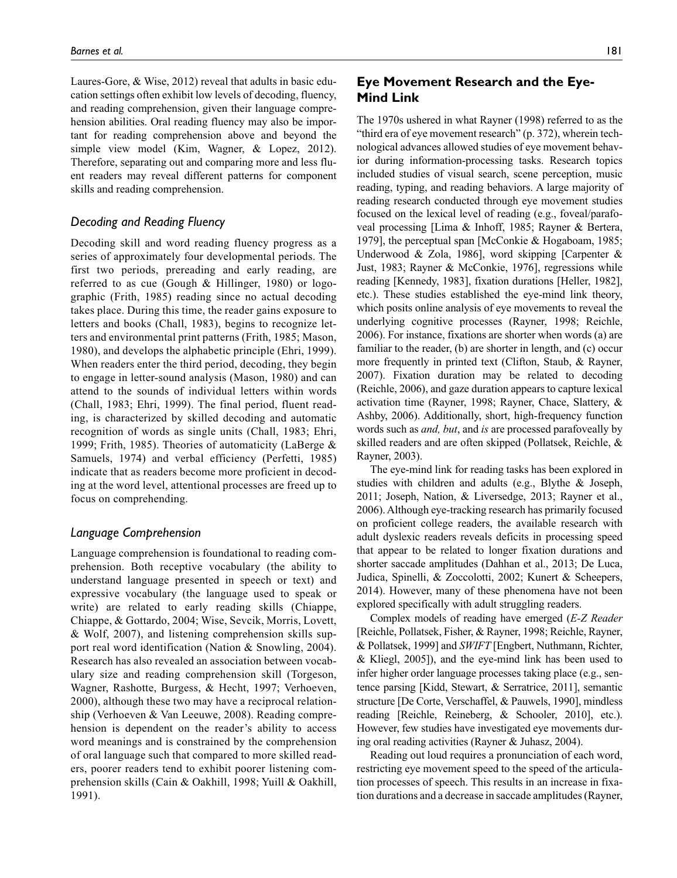Laures-Gore, & Wise, 2012) reveal that adults in basic education settings often exhibit low levels of decoding, fluency, and reading comprehension, given their language comprehension abilities. Oral reading fluency may also be important for reading comprehension above and beyond the simple view model (Kim, Wagner, & Lopez, 2012). Therefore, separating out and comparing more and less fluent readers may reveal different patterns for component skills and reading comprehension.

### *Decoding and Reading Fluency*

Decoding skill and word reading fluency progress as a series of approximately four developmental periods. The first two periods, prereading and early reading, are referred to as cue (Gough & Hillinger, 1980) or logographic (Frith, 1985) reading since no actual decoding takes place. During this time, the reader gains exposure to letters and books (Chall, 1983), begins to recognize letters and environmental print patterns (Frith, 1985; Mason, 1980), and develops the alphabetic principle (Ehri, 1999). When readers enter the third period, decoding, they begin to engage in letter-sound analysis (Mason, 1980) and can attend to the sounds of individual letters within words (Chall, 1983; Ehri, 1999). The final period, fluent reading, is characterized by skilled decoding and automatic recognition of words as single units (Chall, 1983; Ehri, 1999; Frith, 1985). Theories of automaticity (LaBerge & Samuels, 1974) and verbal efficiency (Perfetti, 1985) indicate that as readers become more proficient in decoding at the word level, attentional processes are freed up to focus on comprehending.

#### *Language Comprehension*

Language comprehension is foundational to reading comprehension. Both receptive vocabulary (the ability to understand language presented in speech or text) and expressive vocabulary (the language used to speak or write) are related to early reading skills (Chiappe, Chiappe, & Gottardo, 2004; Wise, Sevcik, Morris, Lovett, & Wolf, 2007), and listening comprehension skills support real word identification (Nation & Snowling, 2004). Research has also revealed an association between vocabulary size and reading comprehension skill (Torgeson, Wagner, Rashotte, Burgess, & Hecht, 1997; Verhoeven, 2000), although these two may have a reciprocal relationship (Verhoeven & Van Leeuwe, 2008). Reading comprehension is dependent on the reader's ability to access word meanings and is constrained by the comprehension of oral language such that compared to more skilled readers, poorer readers tend to exhibit poorer listening comprehension skills (Cain & Oakhill, 1998; Yuill & Oakhill, 1991).

# **Eye Movement Research and the Eye-Mind Link**

The 1970s ushered in what Rayner (1998) referred to as the "third era of eye movement research" (p. 372), wherein technological advances allowed studies of eye movement behavior during information-processing tasks. Research topics included studies of visual search, scene perception, music reading, typing, and reading behaviors. A large majority of reading research conducted through eye movement studies focused on the lexical level of reading (e.g., foveal/parafoveal processing [Lima & Inhoff, 1985; Rayner & Bertera, 1979], the perceptual span [McConkie & Hogaboam, 1985; Underwood & Zola, 1986], word skipping [Carpenter & Just, 1983; Rayner & McConkie, 1976], regressions while reading [Kennedy, 1983], fixation durations [Heller, 1982], etc.). These studies established the eye-mind link theory, which posits online analysis of eye movements to reveal the underlying cognitive processes (Rayner, 1998; Reichle, 2006). For instance, fixations are shorter when words (a) are familiar to the reader, (b) are shorter in length, and (c) occur more frequently in printed text (Clifton, Staub, & Rayner, 2007). Fixation duration may be related to decoding (Reichle, 2006), and gaze duration appears to capture lexical activation time (Rayner, 1998; Rayner, Chace, Slattery, & Ashby, 2006). Additionally, short, high-frequency function words such as *and, but*, and *is* are processed parafoveally by skilled readers and are often skipped (Pollatsek, Reichle, & Rayner, 2003).

The eye-mind link for reading tasks has been explored in studies with children and adults (e.g., Blythe & Joseph, 2011; Joseph, Nation, & Liversedge, 2013; Rayner et al., 2006). Although eye-tracking research has primarily focused on proficient college readers, the available research with adult dyslexic readers reveals deficits in processing speed that appear to be related to longer fixation durations and shorter saccade amplitudes (Dahhan et al., 2013; De Luca, Judica, Spinelli, & Zoccolotti, 2002; Kunert & Scheepers, 2014). However, many of these phenomena have not been explored specifically with adult struggling readers.

Complex models of reading have emerged (*E-Z Reader* [Reichle, Pollatsek, Fisher, & Rayner, 1998; Reichle, Rayner, & Pollatsek, 1999] and *SWIFT* [Engbert, Nuthmann, Richter, & Kliegl, 2005]), and the eye-mind link has been used to infer higher order language processes taking place (e.g., sentence parsing [Kidd, Stewart, & Serratrice, 2011], semantic structure [De Corte, Verschaffel, & Pauwels, 1990], mindless reading [Reichle, Reineberg, & Schooler, 2010], etc.). However, few studies have investigated eye movements during oral reading activities (Rayner & Juhasz, 2004).

Reading out loud requires a pronunciation of each word, restricting eye movement speed to the speed of the articulation processes of speech. This results in an increase in fixation durations and a decrease in saccade amplitudes (Rayner,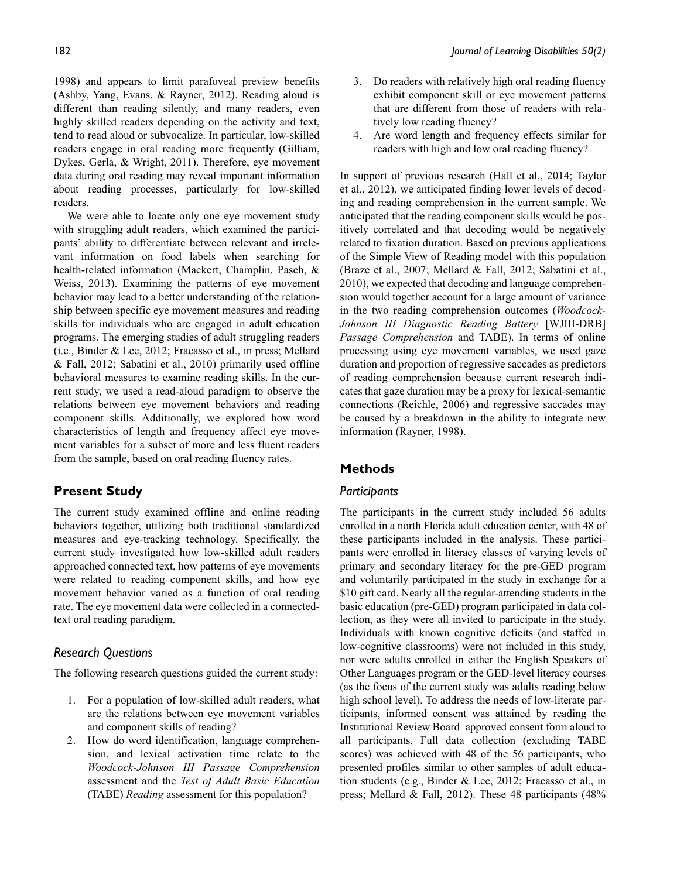1998) and appears to limit parafoveal preview benefits (Ashby, Yang, Evans, & Rayner, 2012). Reading aloud is different than reading silently, and many readers, even highly skilled readers depending on the activity and text, tend to read aloud or subvocalize. In particular, low-skilled readers engage in oral reading more frequently (Gilliam, Dykes, Gerla, & Wright, 2011). Therefore, eye movement data during oral reading may reveal important information about reading processes, particularly for low-skilled readers.

We were able to locate only one eye movement study with struggling adult readers, which examined the participants' ability to differentiate between relevant and irrelevant information on food labels when searching for health-related information (Mackert, Champlin, Pasch, & Weiss, 2013). Examining the patterns of eye movement behavior may lead to a better understanding of the relationship between specific eye movement measures and reading skills for individuals who are engaged in adult education programs. The emerging studies of adult struggling readers (i.e., Binder & Lee, 2012; Fracasso et al., in press; Mellard & Fall, 2012; Sabatini et al., 2010) primarily used offline behavioral measures to examine reading skills. In the current study, we used a read-aloud paradigm to observe the relations between eye movement behaviors and reading component skills. Additionally, we explored how word characteristics of length and frequency affect eye movement variables for a subset of more and less fluent readers from the sample, based on oral reading fluency rates.

# **Present Study**

The current study examined offline and online reading behaviors together, utilizing both traditional standardized measures and eye-tracking technology. Specifically, the current study investigated how low-skilled adult readers approached connected text, how patterns of eye movements were related to reading component skills, and how eye movement behavior varied as a function of oral reading rate. The eye movement data were collected in a connectedtext oral reading paradigm.

# *Research Questions*

The following research questions guided the current study:

- 1. For a population of low-skilled adult readers, what are the relations between eye movement variables and component skills of reading?
- 2. How do word identification, language comprehension, and lexical activation time relate to the *Woodcock-Johnson III Passage Comprehension* assessment and the *Test of Adult Basic Education* (TABE) *Reading* assessment for this population?
- 3. Do readers with relatively high oral reading fluency exhibit component skill or eye movement patterns that are different from those of readers with relatively low reading fluency?
- 4. Are word length and frequency effects similar for readers with high and low oral reading fluency?

In support of previous research (Hall et al., 2014; Taylor et al., 2012), we anticipated finding lower levels of decoding and reading comprehension in the current sample. We anticipated that the reading component skills would be positively correlated and that decoding would be negatively related to fixation duration. Based on previous applications of the Simple View of Reading model with this population (Braze et al., 2007; Mellard & Fall, 2012; Sabatini et al., 2010), we expected that decoding and language comprehension would together account for a large amount of variance in the two reading comprehension outcomes (*Woodcock-Johnson III Diagnostic Reading Battery* [WJIII-DRB] *Passage Comprehension* and TABE). In terms of online processing using eye movement variables, we used gaze duration and proportion of regressive saccades as predictors of reading comprehension because current research indicates that gaze duration may be a proxy for lexical-semantic connections (Reichle, 2006) and regressive saccades may be caused by a breakdown in the ability to integrate new information (Rayner, 1998).

# **Methods**

### *Participants*

The participants in the current study included 56 adults enrolled in a north Florida adult education center, with 48 of these participants included in the analysis. These participants were enrolled in literacy classes of varying levels of primary and secondary literacy for the pre-GED program and voluntarily participated in the study in exchange for a \$10 gift card. Nearly all the regular-attending students in the basic education (pre-GED) program participated in data collection, as they were all invited to participate in the study. Individuals with known cognitive deficits (and staffed in low-cognitive classrooms) were not included in this study, nor were adults enrolled in either the English Speakers of Other Languages program or the GED-level literacy courses (as the focus of the current study was adults reading below high school level). To address the needs of low-literate participants, informed consent was attained by reading the Institutional Review Board–approved consent form aloud to all participants. Full data collection (excluding TABE scores) was achieved with 48 of the 56 participants, who presented profiles similar to other samples of adult education students (e.g., Binder & Lee, 2012; Fracasso et al., in press; Mellard & Fall, 2012). These 48 participants (48%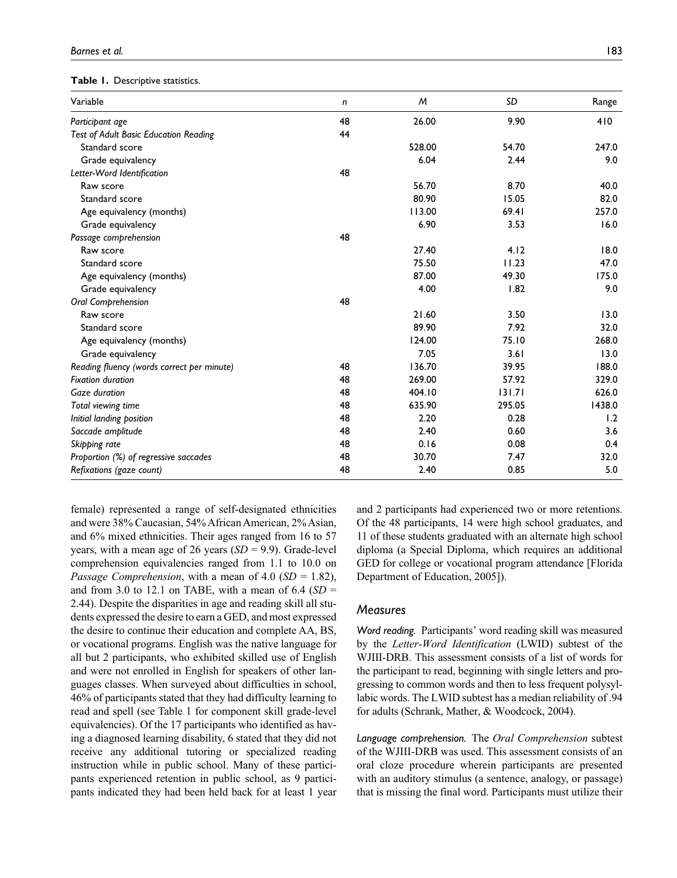#### **Table 1.** Descriptive statistics.

| Variable                                     | n  | M      | SD     | Range  |
|----------------------------------------------|----|--------|--------|--------|
| Participant age                              | 48 | 26.00  | 9.90   | 410    |
| <b>Test of Adult Basic Education Reading</b> | 44 |        |        |        |
| Standard score                               |    | 528.00 | 54.70  | 247.0  |
| Grade equivalency                            |    | 6.04   | 2.44   | 9.0    |
| Letter-Word Identification                   | 48 |        |        |        |
| Raw score                                    |    | 56.70  | 8.70   | 40.0   |
| Standard score                               |    | 80.90  | 15.05  | 82.0   |
| Age equivalency (months)                     |    | 113.00 | 69.41  | 257.0  |
| Grade equivalency                            |    | 6.90   | 3.53   | 16.0   |
| Passage comprehension                        | 48 |        |        |        |
| Raw score                                    |    | 27.40  | 4.12   | 18.0   |
| Standard score                               |    | 75.50  | 11.23  | 47.0   |
| Age equivalency (months)                     |    | 87.00  | 49.30  | 175.0  |
| Grade equivalency                            |    | 4.00   | 1.82   | 9.0    |
| Oral Comprehension                           | 48 |        |        |        |
| Raw score                                    |    | 21.60  | 3.50   | 13.0   |
| Standard score                               |    | 89.90  | 7.92   | 32.0   |
| Age equivalency (months)                     |    | 124.00 | 75.10  | 268.0  |
| Grade equivalency                            |    | 7.05   | 3.61   | 13.0   |
| Reading fluency (words correct per minute)   | 48 | 136.70 | 39.95  | 188.0  |
| <b>Fixation duration</b>                     | 48 | 269.00 | 57.92  | 329.0  |
| Gaze duration                                | 48 | 404.10 | 131.71 | 626.0  |
| Total viewing time                           | 48 | 635.90 | 295.05 | 1438.0 |
| Initial landing position                     | 48 | 2.20   | 0.28   | 1.2    |
| Saccade amplitude                            | 48 | 2.40   | 0.60   | 3.6    |
| Skipping rate                                | 48 | 0.16   | 0.08   | 0.4    |
| Proportion (%) of regressive saccades        | 48 | 30.70  | 7.47   | 32.0   |
| Refixations (gaze count)                     | 48 | 2.40   | 0.85   | 5.0    |

female) represented a range of self-designated ethnicities and were 38% Caucasian, 54% African American, 2% Asian, and 6% mixed ethnicities. Their ages ranged from 16 to 57 years, with a mean age of 26 years (*SD* = 9.9). Grade-level comprehension equivalencies ranged from 1.1 to 10.0 on *Passage Comprehension*, with a mean of 4.0 (*SD* = 1.82), and from 3.0 to 12.1 on TABE, with a mean of  $6.4$  ( $SD =$ 2.44). Despite the disparities in age and reading skill all students expressed the desire to earn a GED, and most expressed the desire to continue their education and complete AA, BS, or vocational programs. English was the native language for all but 2 participants, who exhibited skilled use of English and were not enrolled in English for speakers of other languages classes. When surveyed about difficulties in school, 46% of participants stated that they had difficulty learning to read and spell (see Table 1 for component skill grade-level equivalencies). Of the 17 participants who identified as having a diagnosed learning disability, 6 stated that they did not receive any additional tutoring or specialized reading instruction while in public school. Many of these participants experienced retention in public school, as 9 participants indicated they had been held back for at least 1 year

and 2 participants had experienced two or more retentions. Of the 48 participants, 14 were high school graduates, and 11 of these students graduated with an alternate high school diploma (a Special Diploma, which requires an additional GED for college or vocational program attendance [Florida Department of Education, 2005]).

#### *Measures*

*Word reading.* Participants' word reading skill was measured by the *Letter-Word Identification* (LWID) subtest of the WJIII-DRB. This assessment consists of a list of words for the participant to read, beginning with single letters and progressing to common words and then to less frequent polysyllabic words. The LWID subtest has a median reliability of .94 for adults (Schrank, Mather, & Woodcock, 2004).

*Language comprehension.* The *Oral Comprehension* subtest of the WJIII-DRB was used. This assessment consists of an oral cloze procedure wherein participants are presented with an auditory stimulus (a sentence, analogy, or passage) that is missing the final word. Participants must utilize their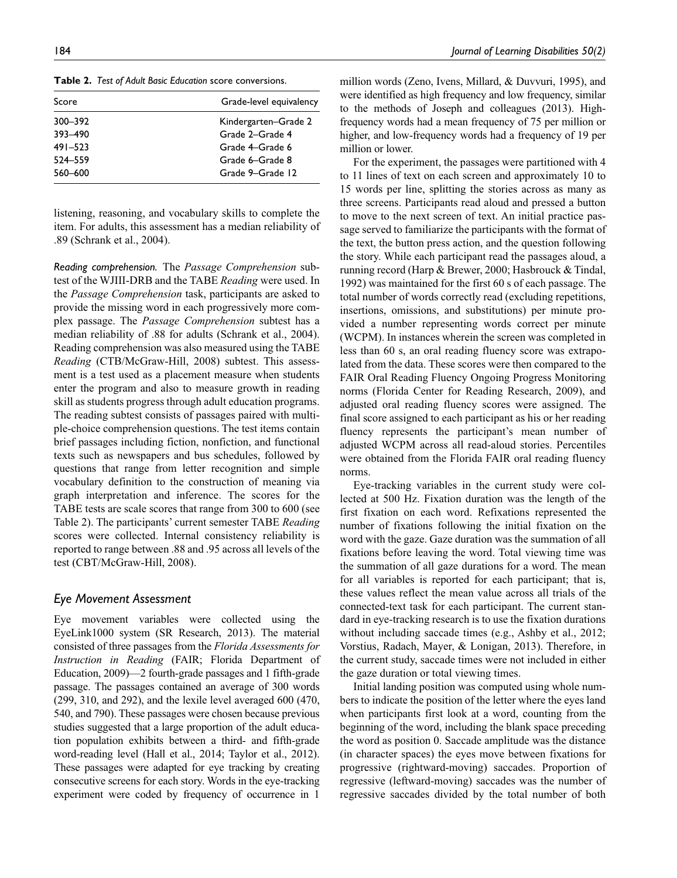**Table 2.** *Test of Adult Basic Education* score conversions.

| Score       | Grade-level equivalency |
|-------------|-------------------------|
| 300-392     | Kindergarten–Grade 2    |
| 393-490     | Grade 2-Grade 4         |
| $491 - 523$ | Grade 4-Grade 6         |
| 524 - 559   | Grade 6-Grade 8         |
| 560-600     | Grade 9-Grade 12        |

listening, reasoning, and vocabulary skills to complete the item. For adults, this assessment has a median reliability of .89 (Schrank et al., 2004).

*Reading comprehension.* The *Passage Comprehension* subtest of the WJIII-DRB and the TABE *Reading* were used. In the *Passage Comprehension* task, participants are asked to provide the missing word in each progressively more complex passage. The *Passage Comprehension* subtest has a median reliability of .88 for adults (Schrank et al., 2004). Reading comprehension was also measured using the TABE *Reading* (CTB/McGraw-Hill, 2008) subtest. This assessment is a test used as a placement measure when students enter the program and also to measure growth in reading skill as students progress through adult education programs. The reading subtest consists of passages paired with multiple-choice comprehension questions. The test items contain brief passages including fiction, nonfiction, and functional texts such as newspapers and bus schedules, followed by questions that range from letter recognition and simple vocabulary definition to the construction of meaning via graph interpretation and inference. The scores for the TABE tests are scale scores that range from 300 to 600 (see Table 2). The participants' current semester TABE *Reading* scores were collected. Internal consistency reliability is reported to range between .88 and .95 across all levels of the test (CBT/McGraw-Hill, 2008).

### *Eye Movement Assessment*

Eye movement variables were collected using the EyeLink1000 system (SR Research, 2013). The material consisted of three passages from the *Florida Assessments for Instruction in Reading* (FAIR; Florida Department of Education, 2009)—2 fourth-grade passages and 1 fifth-grade passage. The passages contained an average of 300 words (299, 310, and 292), and the lexile level averaged 600 (470, 540, and 790). These passages were chosen because previous studies suggested that a large proportion of the adult education population exhibits between a third- and fifth-grade word-reading level (Hall et al., 2014; Taylor et al., 2012). These passages were adapted for eye tracking by creating consecutive screens for each story. Words in the eye-tracking experiment were coded by frequency of occurrence in 1

million words (Zeno, Ivens, Millard, & Duvvuri, 1995), and were identified as high frequency and low frequency, similar to the methods of Joseph and colleagues (2013). Highfrequency words had a mean frequency of 75 per million or higher, and low-frequency words had a frequency of 19 per million or lower.

For the experiment, the passages were partitioned with 4 to 11 lines of text on each screen and approximately 10 to 15 words per line, splitting the stories across as many as three screens. Participants read aloud and pressed a button to move to the next screen of text. An initial practice passage served to familiarize the participants with the format of the text, the button press action, and the question following the story. While each participant read the passages aloud, a running record (Harp & Brewer, 2000; Hasbrouck & Tindal, 1992) was maintained for the first 60 s of each passage. The total number of words correctly read (excluding repetitions, insertions, omissions, and substitutions) per minute provided a number representing words correct per minute (WCPM). In instances wherein the screen was completed in less than 60 s, an oral reading fluency score was extrapolated from the data. These scores were then compared to the FAIR Oral Reading Fluency Ongoing Progress Monitoring norms (Florida Center for Reading Research, 2009), and adjusted oral reading fluency scores were assigned. The final score assigned to each participant as his or her reading fluency represents the participant's mean number of adjusted WCPM across all read-aloud stories. Percentiles were obtained from the Florida FAIR oral reading fluency norms.

Eye-tracking variables in the current study were collected at 500 Hz. Fixation duration was the length of the first fixation on each word. Refixations represented the number of fixations following the initial fixation on the word with the gaze. Gaze duration was the summation of all fixations before leaving the word. Total viewing time was the summation of all gaze durations for a word. The mean for all variables is reported for each participant; that is, these values reflect the mean value across all trials of the connected-text task for each participant. The current standard in eye-tracking research is to use the fixation durations without including saccade times (e.g., Ashby et al., 2012; Vorstius, Radach, Mayer, & Lonigan, 2013). Therefore, in the current study, saccade times were not included in either the gaze duration or total viewing times.

Initial landing position was computed using whole numbers to indicate the position of the letter where the eyes land when participants first look at a word, counting from the beginning of the word, including the blank space preceding the word as position 0. Saccade amplitude was the distance (in character spaces) the eyes move between fixations for progressive (rightward-moving) saccades. Proportion of regressive (leftward-moving) saccades was the number of regressive saccades divided by the total number of both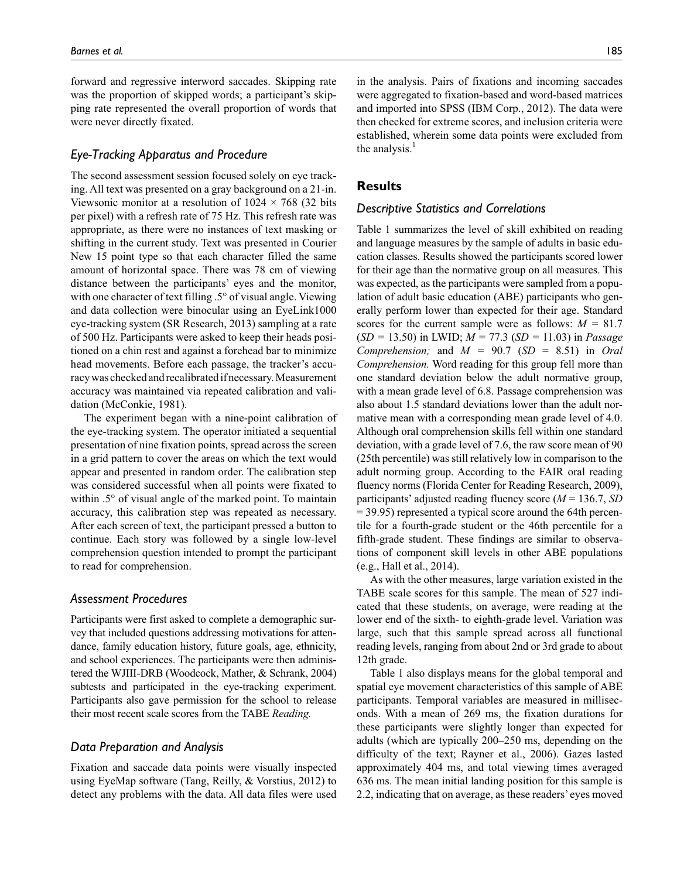forward and regressive interword saccades. Skipping rate was the proportion of skipped words; a participant's skipping rate represented the overall proportion of words that were never directly fixated.

### *Eye-Tracking Apparatus and Procedure*

The second assessment session focused solely on eye tracking. All text was presented on a gray background on a 21-in. Viewsonic monitor at a resolution of  $1024 \times 768$  (32 bits per pixel) with a refresh rate of 75 Hz. This refresh rate was appropriate, as there were no instances of text masking or shifting in the current study. Text was presented in Courier New 15 point type so that each character filled the same amount of horizontal space. There was 78 cm of viewing distance between the participants' eyes and the monitor, with one character of text filling .5° of visual angle. Viewing and data collection were binocular using an EyeLink1000 eye-tracking system (SR Research, 2013) sampling at a rate of 500 Hz. Participants were asked to keep their heads positioned on a chin rest and against a forehead bar to minimize head movements. Before each passage, the tracker's accuracy was checked and recalibrated if necessary. Measurement accuracy was maintained via repeated calibration and validation (McConkie, 1981).

The experiment began with a nine-point calibration of the eye-tracking system. The operator initiated a sequential presentation of nine fixation points, spread across the screen in a grid pattern to cover the areas on which the text would appear and presented in random order. The calibration step was considered successful when all points were fixated to within .5° of visual angle of the marked point. To maintain accuracy, this calibration step was repeated as necessary. After each screen of text, the participant pressed a button to continue. Each story was followed by a single low-level comprehension question intended to prompt the participant to read for comprehension.

## *Assessment Procedures*

Participants were first asked to complete a demographic survey that included questions addressing motivations for attendance, family education history, future goals, age, ethnicity, and school experiences. The participants were then administered the WJIII-DRB (Woodcock, Mather, & Schrank, 2004) subtests and participated in the eye-tracking experiment. Participants also gave permission for the school to release their most recent scale scores from the TABE *Reading.*

#### *Data Preparation and Analysis*

Fixation and saccade data points were visually inspected using EyeMap software (Tang, Reilly, & Vorstius, 2012) to detect any problems with the data. All data files were used in the analysis. Pairs of fixations and incoming saccades were aggregated to fixation-based and word-based matrices and imported into SPSS (IBM Corp., 2012). The data were then checked for extreme scores, and inclusion criteria were established, wherein some data points were excluded from the analysis.<sup>1</sup>

#### **Results**

#### *Descriptive Statistics and Correlations*

Table 1 summarizes the level of skill exhibited on reading and language measures by the sample of adults in basic education classes. Results showed the participants scored lower for their age than the normative group on all measures. This was expected, as the participants were sampled from a population of adult basic education (ABE) participants who generally perform lower than expected for their age. Standard scores for the current sample were as follows: *M =* 81.7 (*SD =* 13.50) in LWID; *M =* 77.3 (*SD =* 11.03) in *Passage Comprehension;* and  $M = 90.7$  (*SD* = 8.51) in *Oral Comprehension.* Word reading for this group fell more than one standard deviation below the adult normative group, with a mean grade level of 6.8. Passage comprehension was also about 1.5 standard deviations lower than the adult normative mean with a corresponding mean grade level of 4.0. Although oral comprehension skills fell within one standard deviation, with a grade level of 7.6, the raw score mean of 90 (25th percentile) was still relatively low in comparison to the adult norming group. According to the FAIR oral reading fluency norms (Florida Center for Reading Research, 2009), participants' adjusted reading fluency score (*M* = 136.7, *SD* = 39.95) represented a typical score around the 64th percentile for a fourth-grade student or the 46th percentile for a fifth-grade student. These findings are similar to observations of component skill levels in other ABE populations (e.g., Hall et al., 2014).

As with the other measures, large variation existed in the TABE scale scores for this sample. The mean of 527 indicated that these students, on average, were reading at the lower end of the sixth- to eighth-grade level. Variation was large, such that this sample spread across all functional reading levels, ranging from about 2nd or 3rd grade to about 12th grade.

Table 1 also displays means for the global temporal and spatial eye movement characteristics of this sample of ABE participants. Temporal variables are measured in milliseconds. With a mean of 269 ms, the fixation durations for these participants were slightly longer than expected for adults (which are typically 200–250 ms, depending on the difficulty of the text; Rayner et al., 2006). Gazes lasted approximately 404 ms, and total viewing times averaged 636 ms. The mean initial landing position for this sample is 2.2, indicating that on average, as these readers' eyes moved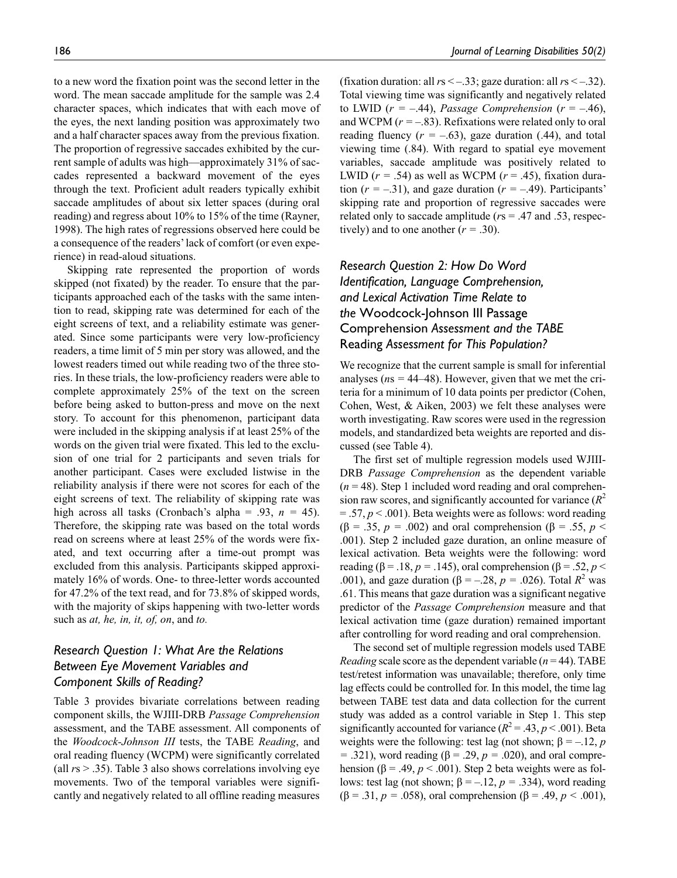to a new word the fixation point was the second letter in the word. The mean saccade amplitude for the sample was 2.4 character spaces, which indicates that with each move of the eyes, the next landing position was approximately two and a half character spaces away from the previous fixation. The proportion of regressive saccades exhibited by the current sample of adults was high—approximately 31% of saccades represented a backward movement of the eyes through the text. Proficient adult readers typically exhibit saccade amplitudes of about six letter spaces (during oral reading) and regress about 10% to 15% of the time (Rayner, 1998). The high rates of regressions observed here could be a consequence of the readers' lack of comfort (or even experience) in read-aloud situations.

Skipping rate represented the proportion of words skipped (not fixated) by the reader. To ensure that the participants approached each of the tasks with the same intention to read, skipping rate was determined for each of the eight screens of text, and a reliability estimate was generated. Since some participants were very low-proficiency readers, a time limit of 5 min per story was allowed, and the lowest readers timed out while reading two of the three stories. In these trials, the low-proficiency readers were able to complete approximately 25% of the text on the screen before being asked to button-press and move on the next story. To account for this phenomenon, participant data were included in the skipping analysis if at least 25% of the words on the given trial were fixated. This led to the exclusion of one trial for 2 participants and seven trials for another participant. Cases were excluded listwise in the reliability analysis if there were not scores for each of the eight screens of text. The reliability of skipping rate was high across all tasks (Cronbach's alpha = .93, *n =* 45). Therefore, the skipping rate was based on the total words read on screens where at least 25% of the words were fixated, and text occurring after a time-out prompt was excluded from this analysis. Participants skipped approximately 16% of words. One- to three-letter words accounted for 47.2% of the text read, and for 73.8% of skipped words, with the majority of skips happening with two-letter words such as *at, he, in, it, of, on*, and *to.*

# *Research Question 1: What Are the Relations Between Eye Movement Variables and Component Skills of Reading?*

Table 3 provides bivariate correlations between reading component skills, the WJIII-DRB *Passage Comprehension* assessment, and the TABE assessment. All components of the *Woodcock-Johnson III* tests, the TABE *Reading*, and oral reading fluency (WCPM) were significantly correlated (all *r*s > .35). Table 3 also shows correlations involving eye movements. Two of the temporal variables were significantly and negatively related to all offline reading measures

(fixation duration: all  $rs < -0.33$ ; gaze duration: all  $rs < -0.32$ ). Total viewing time was significantly and negatively related to LWID  $(r = -.44)$ , *Passage Comprehension*  $(r = -.46)$ , and WCPM (*r =* –.83). Refixations were related only to oral reading fluency  $(r = -.63)$ , gaze duration  $(.44)$ , and total viewing time (.84). With regard to spatial eye movement variables, saccade amplitude was positively related to LWID  $(r = .54)$  as well as WCPM  $(r = .45)$ , fixation duration  $(r = -.31)$ , and gaze duration  $(r = -.49)$ . Participants' skipping rate and proportion of regressive saccades were related only to saccade amplitude (*r*s = .47 and .53, respectively) and to one another  $(r = .30)$ .

# *Research Question 2: How Do Word Identification, Language Comprehension, and Lexical Activation Time Relate to the* Woodcock-Johnson III Passage Comprehension *Assessment and the TABE*  Reading *Assessment for This Population?*

We recognize that the current sample is small for inferential analyses ( $ns = 44-48$ ). However, given that we met the criteria for a minimum of 10 data points per predictor (Cohen, Cohen, West, & Aiken, 2003) we felt these analyses were worth investigating. Raw scores were used in the regression models, and standardized beta weights are reported and discussed (see Table 4).

The first set of multiple regression models used WJIII-DRB *Passage Comprehension* as the dependent variable  $(n = 48)$ . Step 1 included word reading and oral comprehension raw scores, and significantly accounted for variance  $(R^2)$ = .57, *p* < .001). Beta weights were as follows: word reading (β = .35, *p =* .002) and oral comprehension (β = .55, *p* < .001). Step 2 included gaze duration, an online measure of lexical activation. Beta weights were the following: word reading (β = .18, *p* = .145), oral comprehension (β = .52, *p* < .001), and gaze duration ( $\beta = -.28$ ,  $p = .026$ ). Total  $R^2$  was .61. This means that gaze duration was a significant negative predictor of the *Passage Comprehension* measure and that lexical activation time (gaze duration) remained important after controlling for word reading and oral comprehension.

The second set of multiple regression models used TABE *Reading* scale score as the dependent variable ( $n = 44$ ). TABE test/retest information was unavailable; therefore, only time lag effects could be controlled for. In this model, the time lag between TABE test data and data collection for the current study was added as a control variable in Step 1. This step significantly accounted for variance  $(R^2 = .43, p < .001)$ . Beta weights were the following: test lag (not shown;  $\beta = -12$ , *p =* .321), word reading (β = .29, *p =* .020), and oral comprehension ( $\beta$  = .49,  $p$  < .001). Step 2 beta weights were as follows: test lag (not shown;  $β = -.12, p = .334$ ), word reading (β = .31, *p =* .058), oral comprehension (β = .49, *p <* .001),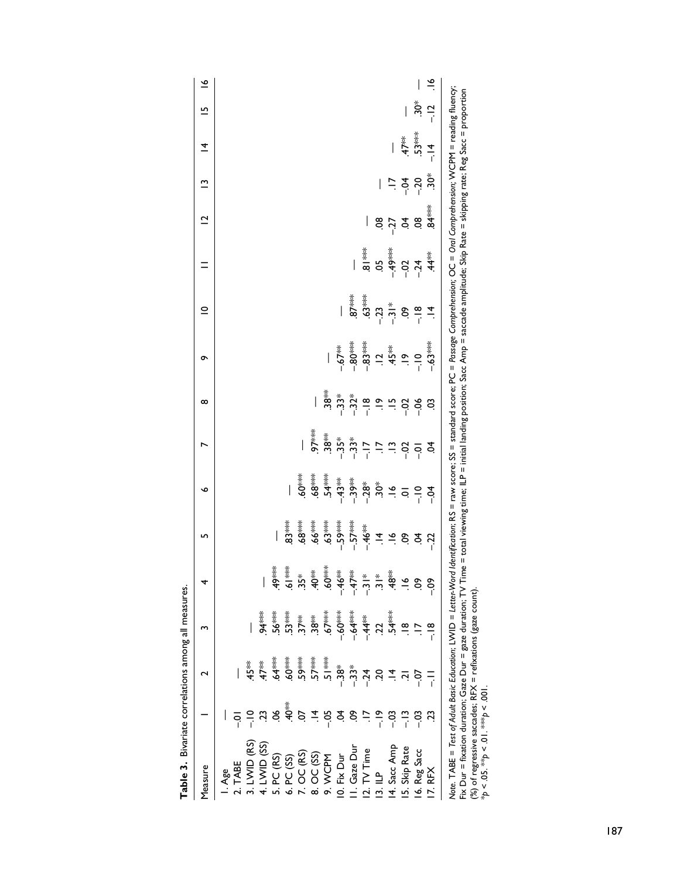| Table 3. Bivariate correlations among all measures.                                                                                                                                              |                    |                    |                             |                                                                       |          |   |                                                                                                                                                                                                                                                                                                                                                                                                                                                                                                                                                     |                       |   |                                                                                                                         |                         |                                         |                   |                |               |
|--------------------------------------------------------------------------------------------------------------------------------------------------------------------------------------------------|--------------------|--------------------|-----------------------------|-----------------------------------------------------------------------|----------|---|-----------------------------------------------------------------------------------------------------------------------------------------------------------------------------------------------------------------------------------------------------------------------------------------------------------------------------------------------------------------------------------------------------------------------------------------------------------------------------------------------------------------------------------------------------|-----------------------|---|-------------------------------------------------------------------------------------------------------------------------|-------------------------|-----------------------------------------|-------------------|----------------|---------------|
| Measure                                                                                                                                                                                          |                    |                    |                             | 4                                                                     | L∩       | ৩ | r                                                                                                                                                                                                                                                                                                                                                                                                                                                                                                                                                   | ∞                     | ᡡ | $\subseteq$                                                                                                             | $\overline{\mathbf{C}}$ | $\tilde{ }$                             | $\overline{4}$    | L              | $\tilde{=}$   |
| I. Age                                                                                                                                                                                           |                    |                    |                             |                                                                       |          |   |                                                                                                                                                                                                                                                                                                                                                                                                                                                                                                                                                     |                       |   |                                                                                                                         |                         |                                         |                   |                |               |
| 2. TABE                                                                                                                                                                                          |                    |                    |                             |                                                                       |          |   |                                                                                                                                                                                                                                                                                                                                                                                                                                                                                                                                                     |                       |   |                                                                                                                         |                         |                                         |                   |                |               |
| 3. LWID (RS)                                                                                                                                                                                     | $rac{1}{\sqrt{2}}$ | 45**               |                             |                                                                       |          |   |                                                                                                                                                                                                                                                                                                                                                                                                                                                                                                                                                     |                       |   |                                                                                                                         |                         |                                         |                   |                |               |
| 4. LWID $(SS)$                                                                                                                                                                                   |                    | $47*$              | $54***$                     |                                                                       |          |   |                                                                                                                                                                                                                                                                                                                                                                                                                                                                                                                                                     |                       |   |                                                                                                                         |                         |                                         |                   |                |               |
| 5. PC (RS)                                                                                                                                                                                       | 9Ò.                | $64***$            | $.56***$                    | .49***                                                                |          |   |                                                                                                                                                                                                                                                                                                                                                                                                                                                                                                                                                     |                       |   |                                                                                                                         |                         |                                         |                   |                |               |
| 6. PC (SS)                                                                                                                                                                                       | क<br>40            |                    | $.53***$                    |                                                                       | **<br>3* |   |                                                                                                                                                                                                                                                                                                                                                                                                                                                                                                                                                     |                       |   |                                                                                                                         |                         |                                         |                   |                |               |
| $7.$ OC (RS)                                                                                                                                                                                     | 50.                | $.59***$           | $37**$                      | $rac{1}{6}$<br>$\frac{1}{3}$ $\frac{1}{3}$                            | $.68***$ |   |                                                                                                                                                                                                                                                                                                                                                                                                                                                                                                                                                     |                       |   |                                                                                                                         |                         |                                         |                   |                |               |
| 8. OC (SS)                                                                                                                                                                                       | $\vec{=}$          | $57***$            | $38**$                      | $40**$                                                                |          |   | $\frac{1}{2}$                                                                                                                                                                                                                                                                                                                                                                                                                                                                                                                                       |                       |   |                                                                                                                         |                         |                                         |                   |                |               |
| 9. WCPM                                                                                                                                                                                          | $-05$              | -<br>51***         | $.67***$                    | $.60***$                                                              |          |   |                                                                                                                                                                                                                                                                                                                                                                                                                                                                                                                                                     |                       |   |                                                                                                                         |                         |                                         |                   |                |               |
| 10. Fix Dur                                                                                                                                                                                      | इं                 | $-38^*$<br>$-33^*$ | –.60 <sup>≭≈≉</sup><br>–.64 | $-46**$                                                               |          |   |                                                                                                                                                                                                                                                                                                                                                                                                                                                                                                                                                     |                       |   |                                                                                                                         |                         |                                         |                   |                |               |
| I. Gaze Dur                                                                                                                                                                                      | So                 |                    |                             | $-47**$                                                               |          |   |                                                                                                                                                                                                                                                                                                                                                                                                                                                                                                                                                     |                       |   |                                                                                                                         |                         |                                         |                   |                |               |
| 12. TV Time                                                                                                                                                                                      |                    | $-24$              |                             |                                                                       |          |   |                                                                                                                                                                                                                                                                                                                                                                                                                                                                                                                                                     |                       |   |                                                                                                                         |                         |                                         |                   |                |               |
| $\frac{13}{2}$                                                                                                                                                                                   |                    | 50                 | $-44$ <sup>**</sup><br>22   | $\frac{1}{3}$ $\frac{1}{3}$ $\frac{1}{3}$ $\frac{1}{3}$ $\frac{1}{3}$ |          |   | $\mathop{\mathrm{sg}}\limits_{\mathop{\mathrm{sg}}\limits^*} \mathop{\mathrm{sg}}\limits^*_{\mathop{\mathrm{sg}}\limits^*} \mathop{\mathrm{sg}}\limits^*_{\mathop{\mathrm{sg}}\limits^*} \mathop{\mathrm{sg}}\limits^*_{\mathop{\mathrm{sg}}\limits^*_{\mathop{\mathrm{sg}}\limits^*}} \mathop{\mathrm{sg}}\limits^*_{\mathop{\mathrm{sg}}\limits^*_{\mathop{\mathrm{sg}}\limits^*_{\mathop{\mathrm{sg}}\limits^*}}}} \mathop{\mathrm{sg}}\limits^*_{\mathop{\mathrm{sg}}\limits^*_{\mathop{\mathrm{sg}}\limits^*_{\mathop{\mathrm{sg}}\limits^*_{$ | ۊ<br>ۊ؋ڂ؞<br>ۊ؋؞ڿ؞ڿ؞ڿ |   | $87$<br>$33$<br>$33$<br>$-72$<br>$-72$<br>$-72$<br>$-72$<br>$-72$<br>$-72$<br>$-72$<br>$-72$<br>$-72$<br>$-72$<br>$-72$ |                         | I                                       |                   |                |               |
| 4. Sacc Amp                                                                                                                                                                                      |                    |                    | $54***$                     |                                                                       |          |   |                                                                                                                                                                                                                                                                                                                                                                                                                                                                                                                                                     |                       |   |                                                                                                                         |                         |                                         |                   |                |               |
| 5. Skip Rate                                                                                                                                                                                     |                    |                    | $\frac{\infty}{\cdot}$      | $\frac{6}{1}$                                                         |          |   |                                                                                                                                                                                                                                                                                                                                                                                                                                                                                                                                                     |                       |   |                                                                                                                         | 8 5 2 8 8<br>8 7 2 8 8  | $\vec{r}$ $\vec{r}$ $\vec{r}$ $\vec{r}$ | $47**$<br>$53***$ | $\bigg $       |               |
| 16. Reg Sacc                                                                                                                                                                                     | ဒို                | $-0$               |                             | So                                                                    |          |   |                                                                                                                                                                                                                                                                                                                                                                                                                                                                                                                                                     |                       |   |                                                                                                                         |                         |                                         |                   |                |               |
| 17. RFX                                                                                                                                                                                          |                    |                    | $\frac{8}{1}$               | ငံ့                                                                   |          |   |                                                                                                                                                                                                                                                                                                                                                                                                                                                                                                                                                     |                       |   |                                                                                                                         |                         |                                         | $\frac{4}{1}$     | $-12$<br>$-12$ | $\frac{8}{1}$ |
| Note. TABE = Test of Adult Basic Education; LWID = Letter-Word Identification; RS = raw score; SS = standard score; PC = Passage Comprehension; OC = Oral Comprehension; WCPM = reading fluency; |                    |                    |                             |                                                                       |          |   |                                                                                                                                                                                                                                                                                                                                                                                                                                                                                                                                                     |                       |   |                                                                                                                         |                         |                                         |                   |                |               |

Fix Dur = fixation duration; Gaze Dur = gaze duration; TV Time = total viewing time; ILP = initial landing position; Sacc Amp = saccade amplitude; Skip Rate = skipping rate; Reg Sacc = proportion<br>(%) of regressive saccades Fix Dur = fixation duration; Gaze Dur = gaze duration; TV Time = total viewing time; ILP = initial landing position; Sacc Amp = saccade amplitude; Skip Rate = skipping rate; Reg Sacc = proportion (%) of regressive saccades; RFX = refixations (gaze count).

\**p* < .05. \*\**p* < .01. \*\*\**p* < .001.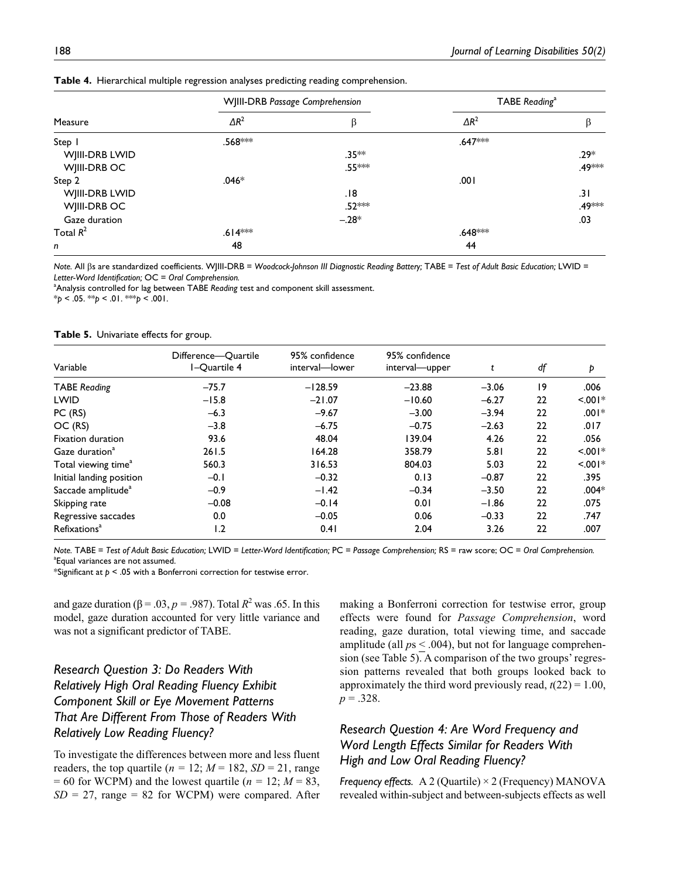|                | WJIII-DRB Passage Comprehension |          | TABE Reading <sup>a</sup> |                    |
|----------------|---------------------------------|----------|---------------------------|--------------------|
| Measure        | $\Delta R^2$                    | β        | $\Delta R^2$              | β                  |
| Step I         | .568***                         |          | .647 <sup>***</sup>       |                    |
| WJIII-DRB LWID |                                 | $.35**$  |                           | $.29*$             |
| WJIII-DRB OC   |                                 | .55***   |                           | .49 <sup>***</sup> |
| Step 2         | $.046*$                         |          | .001                      |                    |
| WJIII-DRB LWID |                                 | .18      |                           | .31                |
| WJIII-DRB OC   |                                 | $.52***$ |                           | .49***             |
| Gaze duration  |                                 | $-.28*$  |                           | .03                |
| Total $R^2$    | $.614***$                       |          | .648 <sup>***</sup>       |                    |
| n              | 48                              |          | 44                        |                    |

**Table 4.** Hierarchical multiple regression analyses predicting reading comprehension.

*Note.* All βs are standardized coefficients. WJIII-DRB = *Woodcock-Johnson III Diagnostic Reading Battery;* TABE = *Test of Adult Basic Education;* LWID = *Letter-Word Identification;* OC = *Oral Comprehension.*

<sup>a</sup>Analysis controlled for lag between TABE *Reading* test and component skill assessment.

\**p* < .05. \*\**p* < .01. \*\*\**p* < .001.

|  | Table 5. Univariate effects for group. |  |  |  |  |
|--|----------------------------------------|--|--|--|--|
|--|----------------------------------------|--|--|--|--|

| Variable                        | Difference-Ouartile<br>I-Quartile 4 | 95% confidence<br>interval-lower | 95% confidence<br>interval-upper | t       | df | Þ         |
|---------------------------------|-------------------------------------|----------------------------------|----------------------------------|---------|----|-----------|
| <b>TABE</b> Reading             | $-75.7$                             | $-128.59$                        | $-23.88$                         | $-3.06$ | 19 | .006      |
| <b>LWID</b>                     | $-15.8$                             | $-21.07$                         | $-10.60$                         | $-6.27$ | 22 | $< 0.01*$ |
| PC (RS)                         | $-6.3$                              | $-9.67$                          | $-3.00$                          | $-3.94$ | 22 | $.001*$   |
| OC (RS)                         | $-3.8$                              | $-6.75$                          | $-0.75$                          | $-2.63$ | 22 | .017      |
| Fixation duration               | 93.6                                | 48.04                            | 139.04                           | 4.26    | 22 | .056      |
| Gaze duration <sup>a</sup>      | 261.5                               | 164.28                           | 358.79                           | 5.81    | 22 | $< 0.01*$ |
| Total viewing time <sup>a</sup> | 560.3                               | 316.53                           | 804.03                           | 5.03    | 22 | $< 0.01*$ |
| Initial landing position        | $-0.1$                              | $-0.32$                          | 0.13                             | $-0.87$ | 22 | .395      |
| Saccade amplitude <sup>a</sup>  | $-0.9$                              | $-1.42$                          | $-0.34$                          | $-3.50$ | 22 | $.004*$   |
| Skipping rate                   | $-0.08$                             | $-0.14$                          | 0.01                             | $-1.86$ | 22 | .075      |
| Regressive saccades             | 0.0                                 | $-0.05$                          | 0.06                             | $-0.33$ | 22 | .747      |
| Refixations <sup>a</sup>        | 1.2                                 | 0.41                             | 2.04                             | 3.26    | 22 | .007      |

*Note.* TABE = *Test of Adult Basic Education;* LWID = *Letter-Word Identification;* PC = *Passage Comprehension;* RS = raw score; OC = *Oral Comprehension.* <sup>a</sup> Equal variances are not assumed.

\*Significant at *p* < .05 with a Bonferroni correction for testwise error.

and gaze duration ( $\beta = .03$ ,  $p = .987$ ). Total  $R^2$  was .65. In this model, gaze duration accounted for very little variance and was not a significant predictor of TABE.

# *Research Question 3: Do Readers With Relatively High Oral Reading Fluency Exhibit Component Skill or Eye Movement Patterns That Are Different From Those of Readers With Relatively Low Reading Fluency?*

To investigate the differences between more and less fluent readers, the top quartile ( $n = 12$ ;  $M = 182$ ,  $SD = 21$ , range  $= 60$  for WCPM) and the lowest quartile ( $n = 12$ ;  $M = 83$ , *SD* = 27, range = 82 for WCPM) were compared. After

making a Bonferroni correction for testwise error, group effects were found for *Passage Comprehension*, word reading, gaze duration, total viewing time, and saccade amplitude (all *p*s < .004), but not for language comprehension (see Table 5). A comparison of the two groups' regression patterns revealed that both groups looked back to approximately the third word previously read,  $t(22) = 1.00$ ,  $p = .328$ .

# *Research Question 4: Are Word Frequency and Word Length Effects Similar for Readers With High and Low Oral Reading Fluency?*

*Frequency effects.* A 2 (Quartile) × 2 (Frequency) MANOVA revealed within-subject and between-subjects effects as well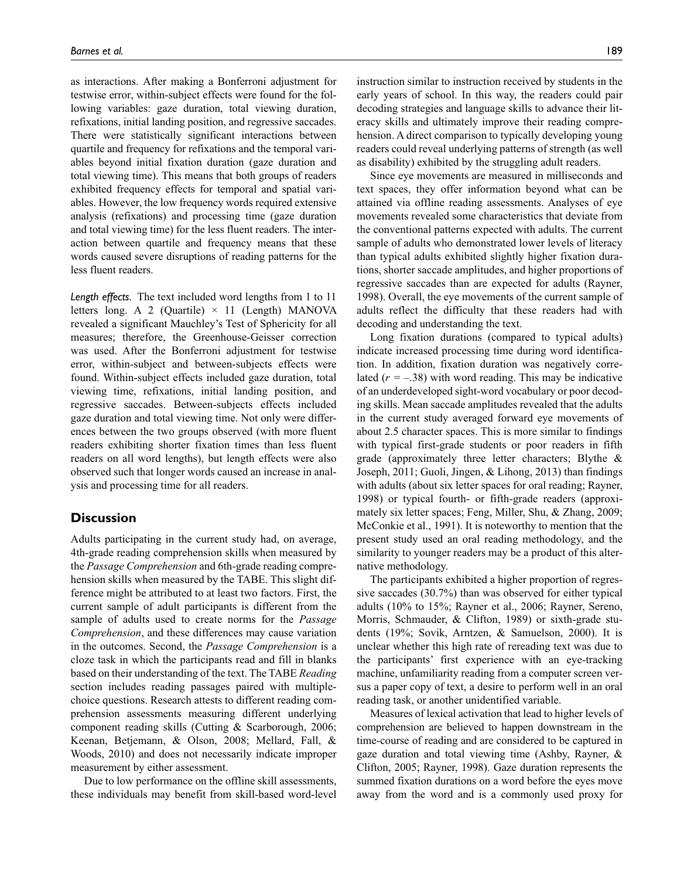as interactions. After making a Bonferroni adjustment for testwise error, within-subject effects were found for the following variables: gaze duration, total viewing duration, refixations, initial landing position, and regressive saccades. There were statistically significant interactions between quartile and frequency for refixations and the temporal variables beyond initial fixation duration (gaze duration and total viewing time). This means that both groups of readers exhibited frequency effects for temporal and spatial variables. However, the low frequency words required extensive analysis (refixations) and processing time (gaze duration and total viewing time) for the less fluent readers. The interaction between quartile and frequency means that these words caused severe disruptions of reading patterns for the less fluent readers.

*Length effects.* The text included word lengths from 1 to 11 letters long. A 2 (Quartile)  $\times$  11 (Length) MANOVA revealed a significant Mauchley's Test of Sphericity for all measures; therefore, the Greenhouse-Geisser correction was used. After the Bonferroni adjustment for testwise error, within-subject and between-subjects effects were found. Within-subject effects included gaze duration, total viewing time, refixations, initial landing position, and regressive saccades. Between-subjects effects included gaze duration and total viewing time. Not only were differences between the two groups observed (with more fluent readers exhibiting shorter fixation times than less fluent readers on all word lengths), but length effects were also observed such that longer words caused an increase in analysis and processing time for all readers.

# **Discussion**

Adults participating in the current study had, on average, 4th-grade reading comprehension skills when measured by the *Passage Comprehension* and 6th-grade reading comprehension skills when measured by the TABE. This slight difference might be attributed to at least two factors. First, the current sample of adult participants is different from the sample of adults used to create norms for the *Passage Comprehension*, and these differences may cause variation in the outcomes. Second, the *Passage Comprehension* is a cloze task in which the participants read and fill in blanks based on their understanding of the text. The TABE *Reading* section includes reading passages paired with multiplechoice questions. Research attests to different reading comprehension assessments measuring different underlying component reading skills (Cutting & Scarborough, 2006; Keenan, Betjemann, & Olson, 2008; Mellard, Fall, & Woods, 2010) and does not necessarily indicate improper measurement by either assessment.

Due to low performance on the offline skill assessments, these individuals may benefit from skill-based word-level instruction similar to instruction received by students in the early years of school. In this way, the readers could pair decoding strategies and language skills to advance their literacy skills and ultimately improve their reading comprehension. A direct comparison to typically developing young readers could reveal underlying patterns of strength (as well as disability) exhibited by the struggling adult readers.

Since eye movements are measured in milliseconds and text spaces, they offer information beyond what can be attained via offline reading assessments. Analyses of eye movements revealed some characteristics that deviate from the conventional patterns expected with adults. The current sample of adults who demonstrated lower levels of literacy than typical adults exhibited slightly higher fixation durations, shorter saccade amplitudes, and higher proportions of regressive saccades than are expected for adults (Rayner, 1998). Overall, the eye movements of the current sample of adults reflect the difficulty that these readers had with decoding and understanding the text.

Long fixation durations (compared to typical adults) indicate increased processing time during word identification. In addition, fixation duration was negatively correlated  $(r = -.38)$  with word reading. This may be indicative of an underdeveloped sight-word vocabulary or poor decoding skills. Mean saccade amplitudes revealed that the adults in the current study averaged forward eye movements of about 2.5 character spaces. This is more similar to findings with typical first-grade students or poor readers in fifth grade (approximately three letter characters; Blythe & Joseph, 2011; Guoli, Jingen, & Lihong, 2013) than findings with adults (about six letter spaces for oral reading; Rayner, 1998) or typical fourth- or fifth-grade readers (approximately six letter spaces; Feng, Miller, Shu, & Zhang, 2009; McConkie et al., 1991). It is noteworthy to mention that the present study used an oral reading methodology, and the similarity to younger readers may be a product of this alternative methodology.

The participants exhibited a higher proportion of regressive saccades (30.7%) than was observed for either typical adults (10% to 15%; Rayner et al., 2006; Rayner, Sereno, Morris, Schmauder, & Clifton, 1989) or sixth-grade students (19%; Sovik, Arntzen, & Samuelson, 2000). It is unclear whether this high rate of rereading text was due to the participants' first experience with an eye-tracking machine, unfamiliarity reading from a computer screen versus a paper copy of text, a desire to perform well in an oral reading task, or another unidentified variable.

Measures of lexical activation that lead to higher levels of comprehension are believed to happen downstream in the time-course of reading and are considered to be captured in gaze duration and total viewing time (Ashby, Rayner, & Clifton, 2005; Rayner, 1998). Gaze duration represents the summed fixation durations on a word before the eyes move away from the word and is a commonly used proxy for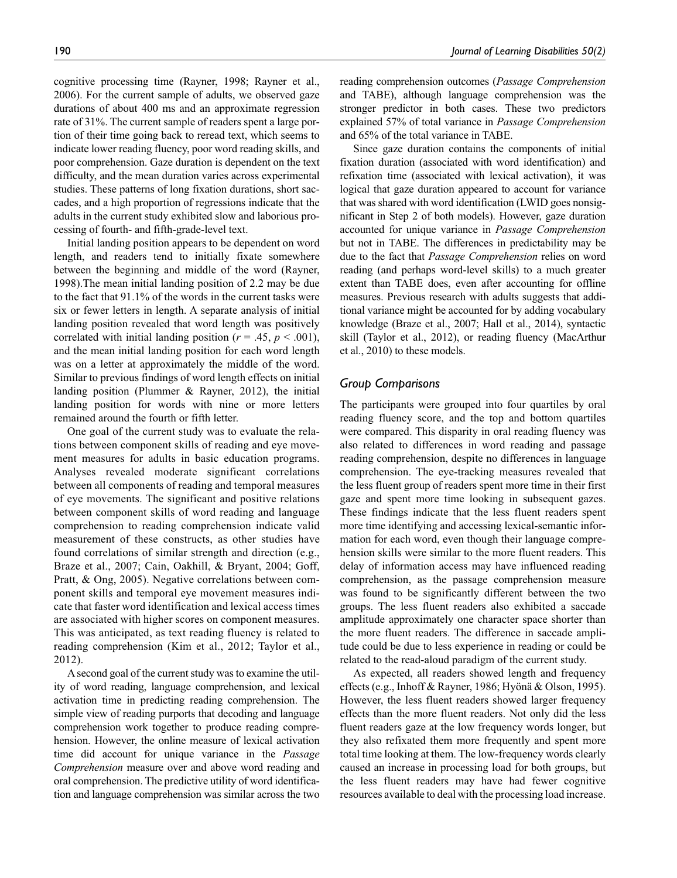cognitive processing time (Rayner, 1998; Rayner et al., 2006). For the current sample of adults, we observed gaze durations of about 400 ms and an approximate regression rate of 31%. The current sample of readers spent a large portion of their time going back to reread text, which seems to indicate lower reading fluency, poor word reading skills, and poor comprehension. Gaze duration is dependent on the text difficulty, and the mean duration varies across experimental studies. These patterns of long fixation durations, short saccades, and a high proportion of regressions indicate that the adults in the current study exhibited slow and laborious processing of fourth- and fifth-grade-level text.

Initial landing position appears to be dependent on word length, and readers tend to initially fixate somewhere between the beginning and middle of the word (Rayner, 1998).The mean initial landing position of 2.2 may be due to the fact that 91.1% of the words in the current tasks were six or fewer letters in length. A separate analysis of initial landing position revealed that word length was positively correlated with initial landing position ( $r = .45$ ,  $p < .001$ ), and the mean initial landing position for each word length was on a letter at approximately the middle of the word. Similar to previous findings of word length effects on initial landing position (Plummer & Rayner, 2012), the initial landing position for words with nine or more letters remained around the fourth or fifth letter.

One goal of the current study was to evaluate the relations between component skills of reading and eye movement measures for adults in basic education programs. Analyses revealed moderate significant correlations between all components of reading and temporal measures of eye movements. The significant and positive relations between component skills of word reading and language comprehension to reading comprehension indicate valid measurement of these constructs, as other studies have found correlations of similar strength and direction (e.g., Braze et al., 2007; Cain, Oakhill, & Bryant, 2004; Goff, Pratt, & Ong, 2005). Negative correlations between component skills and temporal eye movement measures indicate that faster word identification and lexical access times are associated with higher scores on component measures. This was anticipated, as text reading fluency is related to reading comprehension (Kim et al., 2012; Taylor et al., 2012).

A second goal of the current study was to examine the utility of word reading, language comprehension, and lexical activation time in predicting reading comprehension. The simple view of reading purports that decoding and language comprehension work together to produce reading comprehension. However, the online measure of lexical activation time did account for unique variance in the *Passage Comprehension* measure over and above word reading and oral comprehension. The predictive utility of word identification and language comprehension was similar across the two reading comprehension outcomes (*Passage Comprehension* and TABE), although language comprehension was the stronger predictor in both cases. These two predictors explained 57% of total variance in *Passage Comprehension* and 65% of the total variance in TABE.

Since gaze duration contains the components of initial fixation duration (associated with word identification) and refixation time (associated with lexical activation), it was logical that gaze duration appeared to account for variance that was shared with word identification (LWID goes nonsignificant in Step 2 of both models). However, gaze duration accounted for unique variance in *Passage Comprehension* but not in TABE. The differences in predictability may be due to the fact that *Passage Comprehension* relies on word reading (and perhaps word-level skills) to a much greater extent than TABE does, even after accounting for offline measures. Previous research with adults suggests that additional variance might be accounted for by adding vocabulary knowledge (Braze et al., 2007; Hall et al., 2014), syntactic skill (Taylor et al., 2012), or reading fluency (MacArthur et al., 2010) to these models.

### *Group Comparisons*

The participants were grouped into four quartiles by oral reading fluency score, and the top and bottom quartiles were compared. This disparity in oral reading fluency was also related to differences in word reading and passage reading comprehension, despite no differences in language comprehension. The eye-tracking measures revealed that the less fluent group of readers spent more time in their first gaze and spent more time looking in subsequent gazes. These findings indicate that the less fluent readers spent more time identifying and accessing lexical-semantic information for each word, even though their language comprehension skills were similar to the more fluent readers. This delay of information access may have influenced reading comprehension, as the passage comprehension measure was found to be significantly different between the two groups. The less fluent readers also exhibited a saccade amplitude approximately one character space shorter than the more fluent readers. The difference in saccade amplitude could be due to less experience in reading or could be related to the read-aloud paradigm of the current study.

As expected, all readers showed length and frequency effects (e.g., Inhoff & Rayner, 1986; Hyönä & Olson, 1995). However, the less fluent readers showed larger frequency effects than the more fluent readers. Not only did the less fluent readers gaze at the low frequency words longer, but they also refixated them more frequently and spent more total time looking at them. The low-frequency words clearly caused an increase in processing load for both groups, but the less fluent readers may have had fewer cognitive resources available to deal with the processing load increase.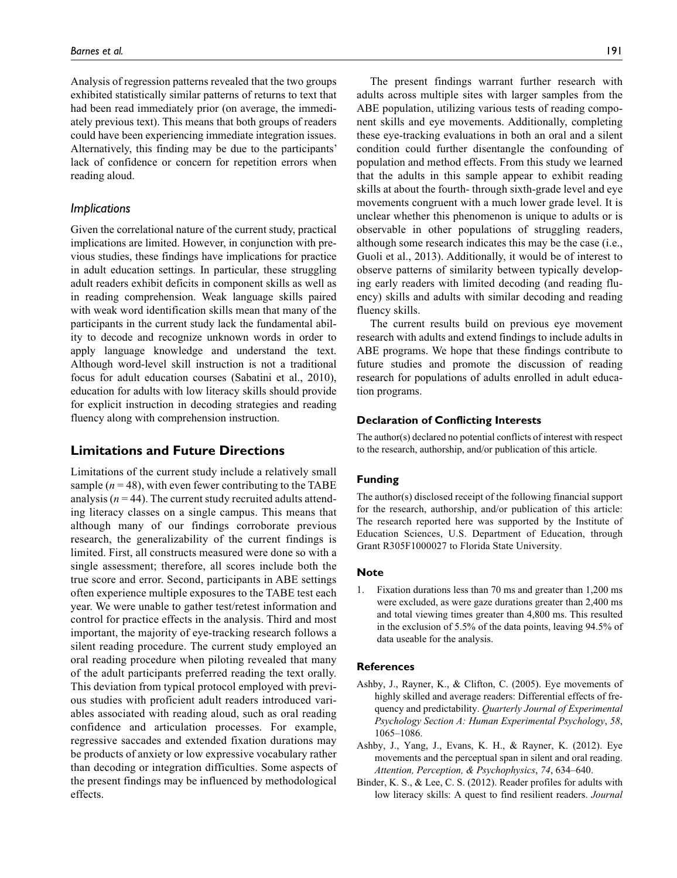Analysis of regression patterns revealed that the two groups exhibited statistically similar patterns of returns to text that had been read immediately prior (on average, the immediately previous text). This means that both groups of readers could have been experiencing immediate integration issues. Alternatively, this finding may be due to the participants' lack of confidence or concern for repetition errors when reading aloud.

#### *Implications*

Given the correlational nature of the current study, practical implications are limited. However, in conjunction with previous studies, these findings have implications for practice in adult education settings. In particular, these struggling adult readers exhibit deficits in component skills as well as in reading comprehension. Weak language skills paired with weak word identification skills mean that many of the participants in the current study lack the fundamental ability to decode and recognize unknown words in order to apply language knowledge and understand the text. Although word-level skill instruction is not a traditional focus for adult education courses (Sabatini et al., 2010), education for adults with low literacy skills should provide for explicit instruction in decoding strategies and reading fluency along with comprehension instruction.

# **Limitations and Future Directions**

Limitations of the current study include a relatively small sample  $(n = 48)$ , with even fewer contributing to the TABE analysis  $(n = 44)$ . The current study recruited adults attending literacy classes on a single campus. This means that although many of our findings corroborate previous research, the generalizability of the current findings is limited. First, all constructs measured were done so with a single assessment; therefore, all scores include both the true score and error. Second, participants in ABE settings often experience multiple exposures to the TABE test each year. We were unable to gather test/retest information and control for practice effects in the analysis. Third and most important, the majority of eye-tracking research follows a silent reading procedure. The current study employed an oral reading procedure when piloting revealed that many of the adult participants preferred reading the text orally. This deviation from typical protocol employed with previous studies with proficient adult readers introduced variables associated with reading aloud, such as oral reading confidence and articulation processes. For example, regressive saccades and extended fixation durations may be products of anxiety or low expressive vocabulary rather than decoding or integration difficulties. Some aspects of the present findings may be influenced by methodological effects.

The present findings warrant further research with adults across multiple sites with larger samples from the ABE population, utilizing various tests of reading component skills and eye movements. Additionally, completing these eye-tracking evaluations in both an oral and a silent condition could further disentangle the confounding of population and method effects. From this study we learned that the adults in this sample appear to exhibit reading skills at about the fourth- through sixth-grade level and eye movements congruent with a much lower grade level. It is unclear whether this phenomenon is unique to adults or is observable in other populations of struggling readers, although some research indicates this may be the case (i.e., Guoli et al., 2013). Additionally, it would be of interest to observe patterns of similarity between typically developing early readers with limited decoding (and reading fluency) skills and adults with similar decoding and reading fluency skills.

The current results build on previous eye movement research with adults and extend findings to include adults in ABE programs. We hope that these findings contribute to future studies and promote the discussion of reading research for populations of adults enrolled in adult education programs.

#### **Declaration of Conflicting Interests**

The author(s) declared no potential conflicts of interest with respect to the research, authorship, and/or publication of this article.

#### **Funding**

The author(s) disclosed receipt of the following financial support for the research, authorship, and/or publication of this article: The research reported here was supported by the Institute of Education Sciences, U.S. Department of Education, through Grant R305F1000027 to Florida State University.

#### **Note**

1. Fixation durations less than 70 ms and greater than 1,200 ms were excluded, as were gaze durations greater than 2,400 ms and total viewing times greater than 4,800 ms. This resulted in the exclusion of 5.5% of the data points, leaving 94.5% of data useable for the analysis.

#### **References**

- Ashby, J., Rayner, K., & Clifton, C. (2005). Eye movements of highly skilled and average readers: Differential effects of frequency and predictability. *Quarterly Journal of Experimental Psychology Section A: Human Experimental Psychology*, *58*, 1065–1086.
- Ashby, J., Yang, J., Evans, K. H., & Rayner, K. (2012). Eye movements and the perceptual span in silent and oral reading. *Attention, Perception, & Psychophysics*, *74*, 634–640.
- Binder, K. S., & Lee, C. S. (2012). Reader profiles for adults with low literacy skills: A quest to find resilient readers. *Journal*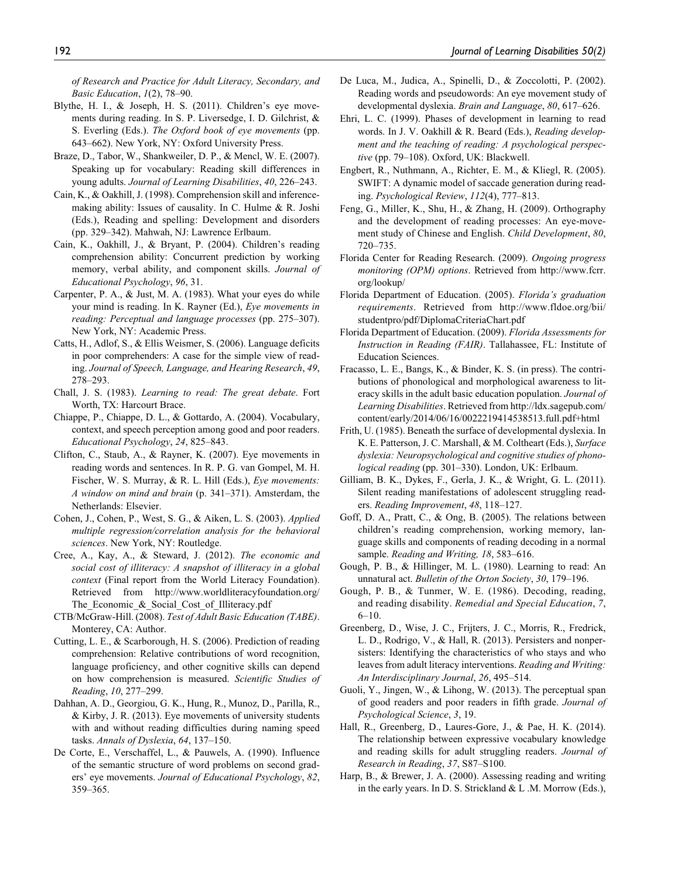*of Research and Practice for Adult Literacy, Secondary, and Basic Education*, *1*(2), 78–90.

- Blythe, H. I., & Joseph, H. S. (2011). Children's eye movements during reading. In S. P. Liversedge, I. D. Gilchrist, & S. Everling (Eds.). *The Oxford book of eye movements* (pp. 643–662). New York, NY: Oxford University Press.
- Braze, D., Tabor, W., Shankweiler, D. P., & Mencl, W. E. (2007). Speaking up for vocabulary: Reading skill differences in young adults. *Journal of Learning Disabilities*, *40*, 226–243.
- Cain, K., & Oakhill, J. (1998). Comprehension skill and inferencemaking ability: Issues of causality. In C. Hulme & R. Joshi (Eds.), Reading and spelling: Development and disorders (pp. 329–342). Mahwah, NJ: Lawrence Erlbaum.
- Cain, K., Oakhill, J., & Bryant, P. (2004). Children's reading comprehension ability: Concurrent prediction by working memory, verbal ability, and component skills. *Journal of Educational Psychology*, *96*, 31.
- Carpenter, P. A., & Just, M. A. (1983). What your eyes do while your mind is reading. In K. Rayner (Ed.), *Eye movements in reading: Perceptual and language processes* (pp. 275–307). New York, NY: Academic Press.
- Catts, H., Adlof, S., & Ellis Weismer, S. (2006). Language deficits in poor comprehenders: A case for the simple view of reading. *Journal of Speech, Language, and Hearing Research*, *49*, 278–293.
- Chall, J. S. (1983). *Learning to read: The great debate*. Fort Worth, TX: Harcourt Brace.
- Chiappe, P., Chiappe, D. L., & Gottardo, A. (2004). Vocabulary, context, and speech perception among good and poor readers. *Educational Psychology*, *24*, 825–843.
- Clifton, C., Staub, A., & Rayner, K. (2007). Eye movements in reading words and sentences. In R. P. G. van Gompel, M. H. Fischer, W. S. Murray, & R. L. Hill (Eds.), *Eye movements: A window on mind and brain* (p. 341–371). Amsterdam, the Netherlands: Elsevier.
- Cohen, J., Cohen, P., West, S. G., & Aiken, L. S. (2003). *Applied multiple regression/correlation analysis for the behavioral sciences*. New York, NY: Routledge.
- Cree, A., Kay, A., & Steward, J. (2012). *The economic and social cost of illiteracy: A snapshot of illiteracy in a global context* (Final report from the World Literacy Foundation). Retrieved from [http://www.worldliteracyfoundation.org/](http://www.worldliteracyfoundation.org/The_Economic_&_Social_Cost_of_Illiteracy.pdf) The Economic & Social Cost of Illiteracy.pdf
- CTB/McGraw-Hill. (2008). *Test of Adult Basic Education (TABE)*. Monterey, CA: Author.
- Cutting, L. E., & Scarborough, H. S. (2006). Prediction of reading comprehension: Relative contributions of word recognition, language proficiency, and other cognitive skills can depend on how comprehension is measured. *Scientific Studies of Reading*, *10*, 277–299.
- Dahhan, A. D., Georgiou, G. K., Hung, R., Munoz, D., Parilla, R., & Kirby, J. R. (2013). Eye movements of university students with and without reading difficulties during naming speed tasks. *Annals of Dyslexia*, *64*, 137–150.
- De Corte, E., Verschaffel, L., & Pauwels, A. (1990). Influence of the semantic structure of word problems on second graders' eye movements. *Journal of Educational Psychology*, *82*, 359–365.
- De Luca, M., Judica, A., Spinelli, D., & Zoccolotti, P. (2002). Reading words and pseudowords: An eye movement study of developmental dyslexia. *Brain and Language*, *80*, 617–626.
- Ehri, L. C. (1999). Phases of development in learning to read words. In J. V. Oakhill & R. Beard (Eds.), *Reading development and the teaching of reading: A psychological perspective* (pp. 79–108). Oxford, UK: Blackwell.
- Engbert, R., Nuthmann, A., Richter, E. M., & Kliegl, R. (2005). SWIFT: A dynamic model of saccade generation during reading. *Psychological Review*, *112*(4), 777–813.
- Feng, G., Miller, K., Shu, H., & Zhang, H. (2009). Orthography and the development of reading processes: An eye-movement study of Chinese and English. *Child Development*, *80*, 720–735.
- Florida Center for Reading Research. (2009). *Ongoing progress monitoring (OPM) options*. Retrieved from [http://www.fcrr.](http://www.fcrr.org/lookup/) [org/lookup/](http://www.fcrr.org/lookup/)
- Florida Department of Education. (2005). *Florida's graduation requirements*. Retrieved from [http://www.fldoe.org/bii/](http://www.fldoe.org/bii/studentpro/pdf/DiplomaCriteriaChart.pdf) [studentpro/pdf/DiplomaCriteriaChart.pdf](http://www.fldoe.org/bii/studentpro/pdf/DiplomaCriteriaChart.pdf)
- Florida Department of Education. (2009). *Florida Assessments for Instruction in Reading (FAIR)*. Tallahassee, FL: Institute of Education Sciences.
- Fracasso, L. E., Bangs, K., & Binder, K. S. (in press). The contributions of phonological and morphological awareness to literacy skills in the adult basic education population. *Journal of Learning Disabilities*. Retrieved from [http://ldx.sagepub.com/](http://ldx.sagepub.com/content/early/2014/06/16/0022219414538513.full.pdf+html) [content/early/2014/06/16/0022219414538513.full.pdf+html](http://ldx.sagepub.com/content/early/2014/06/16/0022219414538513.full.pdf+html)
- Frith, U. (1985). Beneath the surface of developmental dyslexia. In K. E. Patterson, J. C. Marshall, & M. Coltheart (Eds.), *Surface dyslexia: Neuropsychological and cognitive studies of phonological reading* (pp. 301–330). London, UK: Erlbaum.
- Gilliam, B. K., Dykes, F., Gerla, J. K., & Wright, G. L. (2011). Silent reading manifestations of adolescent struggling readers. *Reading Improvement*, *48*, 118–127.
- Goff, D. A., Pratt, C., & Ong, B. (2005). The relations between children's reading comprehension, working memory, language skills and components of reading decoding in a normal sample. *Reading and Writing, 18*, 583–616.
- Gough, P. B., & Hillinger, M. L. (1980). Learning to read: An unnatural act. *Bulletin of the Orton Society*, *30*, 179–196.
- Gough, P. B., & Tunmer, W. E. (1986). Decoding, reading, and reading disability. *Remedial and Special Education*, *7*, 6–10.
- Greenberg, D., Wise, J. C., Frijters, J. C., Morris, R., Fredrick, L. D., Rodrigo, V., & Hall, R. (2013). Persisters and nonpersisters: Identifying the characteristics of who stays and who leaves from adult literacy interventions. *Reading and Writing: An Interdisciplinary Journal*, *26*, 495–514.
- Guoli, Y., Jingen, W., & Lihong, W. (2013). The perceptual span of good readers and poor readers in fifth grade. *Journal of Psychological Science*, *3*, 19.
- Hall, R., Greenberg, D., Laures-Gore, J., & Pae, H. K. (2014). The relationship between expressive vocabulary knowledge and reading skills for adult struggling readers. *Journal of Research in Reading*, *37*, S87–S100.
- Harp, B., & Brewer, J. A. (2000). Assessing reading and writing in the early years. In D. S. Strickland & L .M. Morrow (Eds.),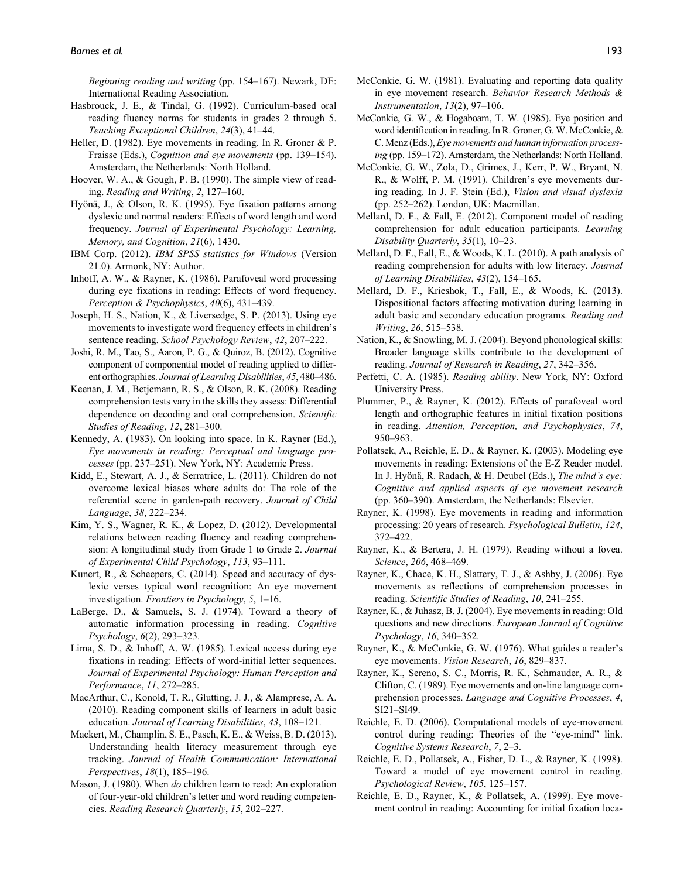*Beginning reading and writing* (pp. 154–167). Newark, DE: International Reading Association.

- Hasbrouck, J. E., & Tindal, G. (1992). Curriculum-based oral reading fluency norms for students in grades 2 through 5. *Teaching Exceptional Children*, *24*(3), 41–44.
- Heller, D. (1982). Eye movements in reading. In R. Groner & P. Fraisse (Eds.), *Cognition and eye movements* (pp. 139–154). Amsterdam, the Netherlands: North Holland.
- Hoover, W. A., & Gough, P. B. (1990). The simple view of reading. *Reading and Writing*, *2*, 127–160.
- Hyönä, J., & Olson, R. K. (1995). Eye fixation patterns among dyslexic and normal readers: Effects of word length and word frequency. *Journal of Experimental Psychology: Learning, Memory, and Cognition*, *21*(6), 1430.
- IBM Corp. (2012). *IBM SPSS statistics for Windows* (Version 21.0). Armonk, NY: Author.
- Inhoff, A. W., & Rayner, K. (1986). Parafoveal word processing during eye fixations in reading: Effects of word frequency. *Perception & Psychophysics*, *40*(6), 431–439.
- Joseph, H. S., Nation, K., & Liversedge, S. P. (2013). Using eye movements to investigate word frequency effects in children's sentence reading. *School Psychology Review*, *42*, 207–222.
- Joshi, R. M., Tao, S., Aaron, P. G., & Quiroz, B. (2012). Cognitive component of componential model of reading applied to different orthographies. *Journal of Learning Disabilities*, *45*, 480–486.
- Keenan, J. M., Betjemann, R. S., & Olson, R. K. (2008). Reading comprehension tests vary in the skills they assess: Differential dependence on decoding and oral comprehension. *Scientific Studies of Reading*, *12*, 281–300.
- Kennedy, A. (1983). On looking into space. In K. Rayner (Ed.), *Eye movements in reading: Perceptual and language processes* (pp. 237–251). New York, NY: Academic Press.
- Kidd, E., Stewart, A. J., & Serratrice, L. (2011). Children do not overcome lexical biases where adults do: The role of the referential scene in garden-path recovery. *Journal of Child Language*, *38*, 222–234.
- Kim, Y. S., Wagner, R. K., & Lopez, D. (2012). Developmental relations between reading fluency and reading comprehension: A longitudinal study from Grade 1 to Grade 2. *Journal of Experimental Child Psychology*, *113*, 93–111.
- Kunert, R., & Scheepers, C. (2014). Speed and accuracy of dyslexic verses typical word recognition: An eye movement investigation. *Frontiers in Psychology*, *5*, 1–16.
- LaBerge, D., & Samuels, S. J. (1974). Toward a theory of automatic information processing in reading. *Cognitive Psychology*, *6*(2), 293–323.
- Lima, S. D., & Inhoff, A. W. (1985). Lexical access during eye fixations in reading: Effects of word-initial letter sequences. *Journal of Experimental Psychology: Human Perception and Performance*, *11*, 272–285.
- MacArthur, C., Konold, T. R., Glutting, J. J., & Alamprese, A. A. (2010). Reading component skills of learners in adult basic education. *Journal of Learning Disabilities*, *43*, 108–121.
- Mackert, M., Champlin, S. E., Pasch, K. E., & Weiss, B. D. (2013). Understanding health literacy measurement through eye tracking. *Journal of Health Communication: International Perspectives*, *18*(1), 185–196.
- Mason, J. (1980). When *do* children learn to read: An exploration of four-year-old children's letter and word reading competencies. *Reading Research Quarterly*, *15*, 202–227.
- McConkie, G. W. (1981). Evaluating and reporting data quality in eye movement research. *Behavior Research Methods & Instrumentation*, *13*(2), 97–106.
- McConkie, G. W., & Hogaboam, T. W. (1985). Eye position and word identification in reading. In R. Groner, G. W. McConkie, & C. Menz (Eds.), *Eye movements and human information processing* (pp. 159–172). Amsterdam, the Netherlands: North Holland.
- McConkie, G. W., Zola, D., Grimes, J., Kerr, P. W., Bryant, N. R., & Wolff, P. M. (1991). Children's eye movements during reading. In J. F. Stein (Ed.), *Vision and visual dyslexia* (pp. 252–262). London, UK: Macmillan.
- Mellard, D. F., & Fall, E. (2012). Component model of reading comprehension for adult education participants. *Learning Disability Quarterly*, *35*(1), 10–23.
- Mellard, D. F., Fall, E., & Woods, K. L. (2010). A path analysis of reading comprehension for adults with low literacy. *Journal of Learning Disabilities*, *43*(2), 154–165.
- Mellard, D. F., Krieshok, T., Fall, E., & Woods, K. (2013). Dispositional factors affecting motivation during learning in adult basic and secondary education programs. *Reading and Writing*, *26*, 515–538.
- Nation, K., & Snowling, M. J. (2004). Beyond phonological skills: Broader language skills contribute to the development of reading. *Journal of Research in Reading*, *27*, 342–356.
- Perfetti, C. A. (1985). *Reading ability*. New York, NY: Oxford University Press.
- Plummer, P., & Rayner, K. (2012). Effects of parafoveal word length and orthographic features in initial fixation positions in reading. *Attention, Perception, and Psychophysics*, *74*, 950–963.
- Pollatsek, A., Reichle, E. D., & Rayner, K. (2003). Modeling eye movements in reading: Extensions of the E-Z Reader model. In J. Hyönä, R. Radach, & H. Deubel (Eds.), *The mind's eye: Cognitive and applied aspects of eye movement research* (pp. 360–390). Amsterdam, the Netherlands: Elsevier.
- Rayner, K. (1998). Eye movements in reading and information processing: 20 years of research. *Psychological Bulletin*, *124*, 372–422.
- Rayner, K., & Bertera, J. H. (1979). Reading without a fovea. *Science*, *206*, 468–469.
- Rayner, K., Chace, K. H., Slattery, T. J., & Ashby, J. (2006). Eye movements as reflections of comprehension processes in reading. *Scientific Studies of Reading*, *10*, 241–255.
- Rayner, K., & Juhasz, B. J. (2004). Eye movements in reading: Old questions and new directions. *European Journal of Cognitive Psychology*, *16*, 340–352.
- Rayner, K., & McConkie, G. W. (1976). What guides a reader's eye movements. *Vision Research*, *16*, 829–837.
- Rayner, K., Sereno, S. C., Morris, R. K., Schmauder, A. R., & Clifton, C. (1989). Eye movements and on-line language comprehension processes. *Language and Cognitive Processes*, *4*, SI21–SI49.
- Reichle, E. D. (2006). Computational models of eye-movement control during reading: Theories of the "eye-mind" link. *Cognitive Systems Research*, *7*, 2–3.
- Reichle, E. D., Pollatsek, A., Fisher, D. L., & Rayner, K. (1998). Toward a model of eye movement control in reading. *Psychological Review*, *105*, 125–157.
- Reichle, E. D., Rayner, K., & Pollatsek, A. (1999). Eye movement control in reading: Accounting for initial fixation loca-